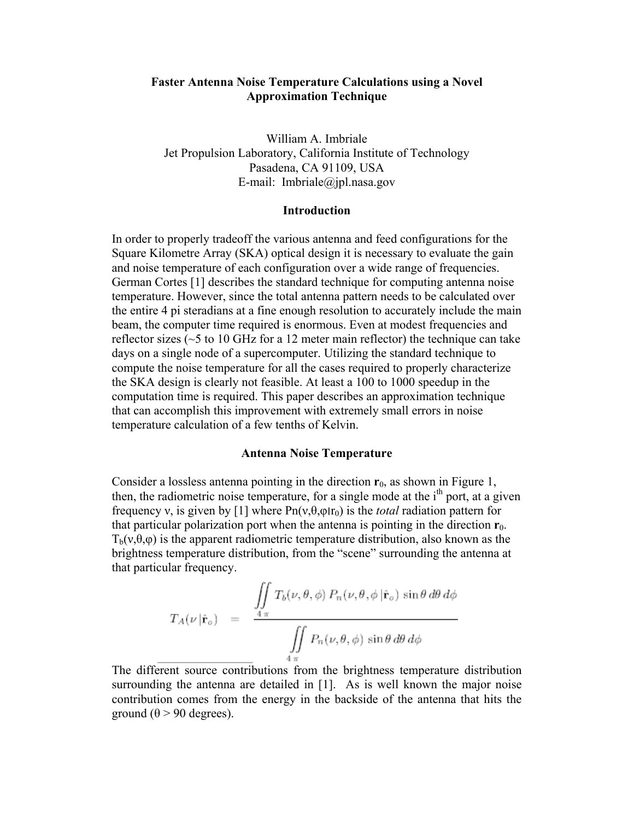# **Faster Antenna Noise Temperature Calculations using a Novel Approximation Technique**

William A. Imbriale Jet Propulsion Laboratory, California Institute of Technology Pasadena, CA 91109, USA E-mail: Imbriale@jpl.nasa.gov

#### **Introduction**

In order to properly tradeoff the various antenna and feed configurations for the Square Kilometre Array (SKA) optical design it is necessary to evaluate the gain and noise temperature of each configuration over a wide range of frequencies. German Cortes [1] describes the standard technique for computing antenna noise temperature. However, since the total antenna pattern needs to be calculated over the entire 4 pi steradians at a fine enough resolution to accurately include the main beam, the computer time required is enormous. Even at modest frequencies and reflector sizes (~5 to 10 GHz for a 12 meter main reflector) the technique can take days on a single node of a supercomputer. Utilizing the standard technique to compute the noise temperature for all the cases required to properly characterize the SKA design is clearly not feasible. At least a 100 to 1000 speedup in the computation time is required. This paper describes an approximation technique that can accomplish this improvement with extremely small errors in noise temperature calculation of a few tenths of Kelvin.

#### **Antenna Noise Temperature**

Consider a lossless antenna pointing in the direction **r**0, as shown in Figure 1, then, the radiometric noise temperature, for a single mode at the  $i<sup>th</sup>$  port, at a given frequency v, is given by [1] where  $Pn(v, \theta, \varphi | r_0)$  is the *total* radiation pattern for that particular polarization port when the antenna is pointing in the direction  $\mathbf{r}_0$ .  $T_b(v, \theta, \varphi)$  is the apparent radiometric temperature distribution, also known as the brightness temperature distribution, from the "scene" surrounding the antenna at that particular frequency.

$$
T_A(\nu | \hat{\mathbf{r}}_o) = \frac{\iint\limits_{4\pi} T_b(\nu, \theta, \phi) P_n(\nu, \theta, \phi | \hat{\mathbf{r}}_o) \sin \theta \, d\theta \, d\phi}{\iint\limits_{4\pi} P_n(\nu, \theta, \phi) \sin \theta \, d\theta \, d\phi}
$$

The different source contributions from the brightness temperature distribution surrounding the antenna are detailed in [1]. As is well known the major noise contribution comes from the energy in the backside of the antenna that hits the ground ( $θ$  > 90 degrees).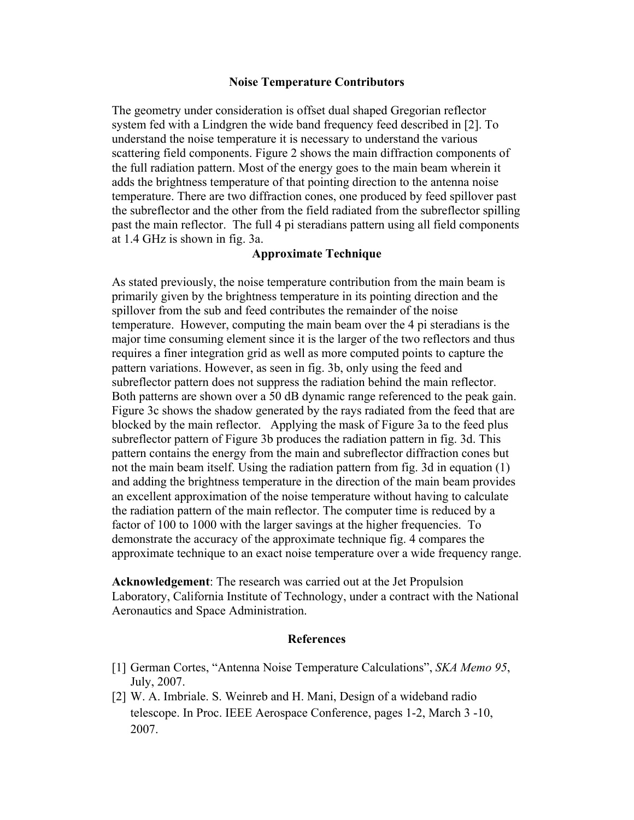# **Noise Temperature Contributors**

The geometry under consideration is offset dual shaped Gregorian reflector system fed with a Lindgren the wide band frequency feed described in [2]. To understand the noise temperature it is necessary to understand the various scattering field components. Figure 2 shows the main diffraction components of the full radiation pattern. Most of the energy goes to the main beam wherein it adds the brightness temperature of that pointing direction to the antenna noise temperature. There are two diffraction cones, one produced by feed spillover past the subreflector and the other from the field radiated from the subreflector spilling past the main reflector. The full 4 pi steradians pattern using all field components at 1.4 GHz is shown in fig. 3a.

## **Approximate Technique**

As stated previously, the noise temperature contribution from the main beam is primarily given by the brightness temperature in its pointing direction and the spillover from the sub and feed contributes the remainder of the noise temperature. However, computing the main beam over the 4 pi steradians is the major time consuming element since it is the larger of the two reflectors and thus requires a finer integration grid as well as more computed points to capture the pattern variations. However, as seen in fig. 3b, only using the feed and subreflector pattern does not suppress the radiation behind the main reflector. Both patterns are shown over a 50 dB dynamic range referenced to the peak gain. Figure 3c shows the shadow generated by the rays radiated from the feed that are blocked by the main reflector. Applying the mask of Figure 3a to the feed plus subreflector pattern of Figure 3b produces the radiation pattern in fig. 3d. This pattern contains the energy from the main and subreflector diffraction cones but not the main beam itself. Using the radiation pattern from fig. 3d in equation (1) and adding the brightness temperature in the direction of the main beam provides an excellent approximation of the noise temperature without having to calculate the radiation pattern of the main reflector. The computer time is reduced by a factor of 100 to 1000 with the larger savings at the higher frequencies. To demonstrate the accuracy of the approximate technique fig. 4 compares the approximate technique to an exact noise temperature over a wide frequency range.

**Acknowledgement**: The research was carried out at the Jet Propulsion Laboratory, California Institute of Technology, under a contract with the National Aeronautics and Space Administration.

#### **References**

- [1] German Cortes, "Antenna Noise Temperature Calculations", *SKA Memo 95*, July, 2007.
- [2] W. A. Imbriale. S. Weinreb and H. Mani, Design of a wideband radio telescope. In Proc. IEEE Aerospace Conference, pages 1-2, March 3 -10, 2007.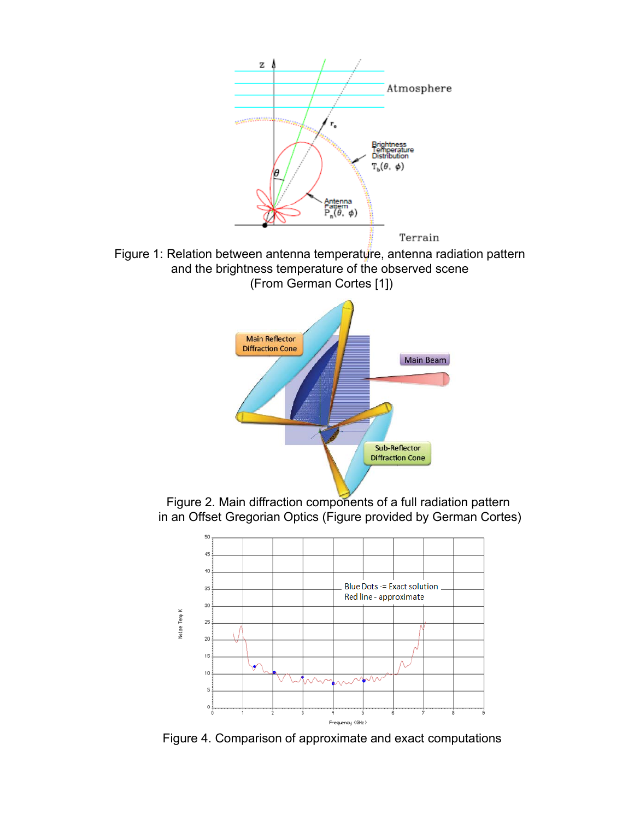



Sub-Reflector **Diffraction Cone** 

Figure 4. Comparison of approximate and exact computations